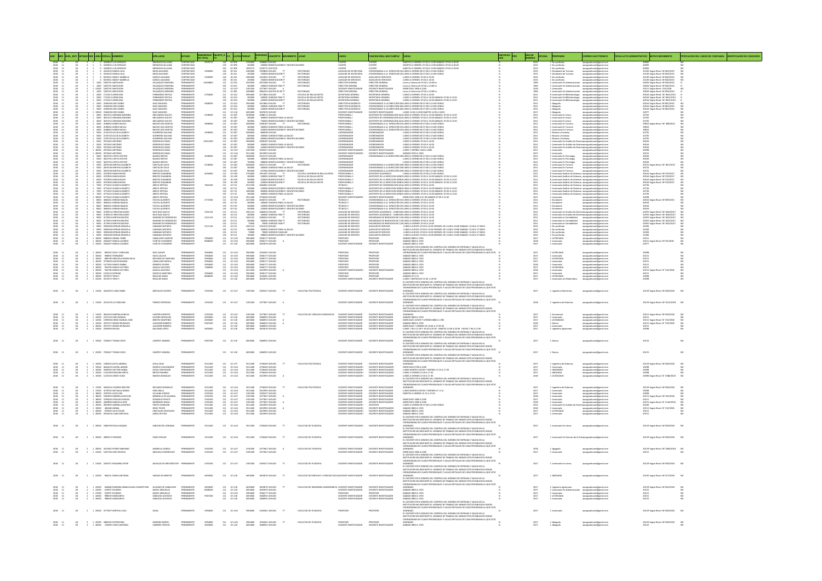|                                                                                                                                                                                                                                      |                                                              | ANO MES NIVEL ENTI ENTIDAD OEE LINEA CEDULA NOMBRES                                                                                                                                                                                                                                                                        | APELLIDOS                                                                                                                                                                                             | ESTADO                                                                                                                                                          |                                                                         | REMUNERACI DEJETO_G P.F. CATEG PRESUP                                                                                                                                                                                                                  |                                                                                                                | DEVENGAD CONCEPTO                                                                                                                                                                                                                                                                                                                                                                                       |                                                                                                                             | CARGO                                                                                                                                                                                                                                                         | FUNCION REAL QUE CUMPLE                                                                                                                 |                                                                                                                                                                                                                                                                                                                                                                                                                             | DISCAPACI TIPO | AÑO DE OFICINA                                               |                                                                                                                                                                                                                                                        | <b>ORREO ELECTRONICO</b>                                                                                                                                                                                                                                                                                                                                                                                                                                                                            | FECHA ACTO ADMINISTRATIVO MOTIVO MOVIMIENTO                                                                                                                                                                                                         |  |
|--------------------------------------------------------------------------------------------------------------------------------------------------------------------------------------------------------------------------------------|--------------------------------------------------------------|----------------------------------------------------------------------------------------------------------------------------------------------------------------------------------------------------------------------------------------------------------------------------------------------------------------------------|-------------------------------------------------------------------------------------------------------------------------------------------------------------------------------------------------------|-----------------------------------------------------------------------------------------------------------------------------------------------------------------|-------------------------------------------------------------------------|--------------------------------------------------------------------------------------------------------------------------------------------------------------------------------------------------------------------------------------------------------|----------------------------------------------------------------------------------------------------------------|---------------------------------------------------------------------------------------------------------------------------------------------------------------------------------------------------------------------------------------------------------------------------------------------------------------------------------------------------------------------------------------------------------|-----------------------------------------------------------------------------------------------------------------------------|---------------------------------------------------------------------------------------------------------------------------------------------------------------------------------------------------------------------------------------------------------------|-----------------------------------------------------------------------------------------------------------------------------------------|-----------------------------------------------------------------------------------------------------------------------------------------------------------------------------------------------------------------------------------------------------------------------------------------------------------------------------------------------------------------------------------------------------------------------------|----------------|--------------------------------------------------------------|--------------------------------------------------------------------------------------------------------------------------------------------------------------------------------------------------------------------------------------------------------|-----------------------------------------------------------------------------------------------------------------------------------------------------------------------------------------------------------------------------------------------------------------------------------------------------------------------------------------------------------------------------------------------------------------------------------------------------------------------------------------------------|-----------------------------------------------------------------------------------------------------------------------------------------------------------------------------------------------------------------------------------------------------|--|
|                                                                                                                                                                                                                                      |                                                              | 0 3203832 LUIS HORACH                                                                                                                                                                                                                                                                                                      |                                                                                                                                                                                                       |                                                                                                                                                                 |                                                                         |                                                                                                                                                                                                                                                        |                                                                                                                | 200000 BONFICACIONES Y GRATIFICACIONES                                                                                                                                                                                                                                                                                                                                                                  |                                                                                                                             | CHOFER                                                                                                                                                                                                                                                        | CHOFER                                                                                                                                  | MARTES A VERNES: 07:00 A 13:00 SABADO: 07:00 A 18:00<br>MARTES A VERNES: 07:00 A 13:00 SABADO: 07:00 A 18:00                                                                                                                                                                                                                                                                                                                |                |                                                              |                                                                                                                                                                                                                                                        | ရာဝးရွားထေပဂၢစစ္သာရှား။at.com<br>ရာဝးရွားထေပဂၢစစ္သာရှား။at.com                                                                                                                                                                                                                                                                                                                                                                                                                                      | 40983                                                                                                                                                                                                                                               |  |
| 2013<br>2013 - 2023 - 2023 - 2023 - 2023 - 2023 - 2023 - 2023 - 2023 - 2023 - 2023 - 2023 - 2023 - 2023 - 2023 - 2023<br>2023 - 2023 - 2023 - 2023 - 2023 - 2023 - 2023 - 2023 - 2023 - 2023 - 2023 - 2023 - 2023 - 2023 - 2023 - 20 |                                                              | 3203832 LUIS HORACH                                                                                                                                                                                                                                                                                                        | MENUGAN VILLALIA<br>MENDOZA VILLALIA<br>MENDOZA VILLALIA<br>MEZA GALEANO<br>GARCIA GALEANO<br>VILLAZQUEZ MOREIRA<br>VILLAZQUEZ MOREIRA<br>VILLAZQUEZ MOREIRA<br>VILLAZQUEZ MOREIRA                    | CONTRATADO<br>CONTRATADO<br>CONTRATADO<br>CONTRATADO<br>CONTRATADO<br>PERMANENTE                                                                                | 2450000                                                                 |                                                                                                                                                                                                                                                        | 200000                                                                                                         | 2020722 VATICALIDRES<br>1023722 VATICOS<br>1393800 SUILDO TT<br>250000 BONFICACIONTT<br>250000 BONFICACIONTT<br>4972380 SUILDO TT                                                                                                                                                                                                                                                                       |                                                                                                                             | CHOTER<br>AUXILIAR DE SECRETARIA<br>AUXILIAR DE SECRETARIA<br>AUXILIAR DE SERVICIOS<br>AUXILIAR DE SERVICIOS                                                                                                                                                  | HOFER                                                                                                                                   | $\begin{tabular}{l c c c} \multicolumn{2}{l}{\textbf{MMN115}} $\textbf{A} \textbf{VERM15}, \textbf{0.560} $\textbf{A}$ is 0.200 $\textbf{A}$ and 200 $\textbf{S}$.} \multicolumn{2}{l}{\textbf{M181}} $\textbf{S} \textbf{I}$ and 200 $\textbf{A}$ and 200 $\textbf{A}$ and 200 $\textbf{A}$ and 200 $\textbf{A}$ and 200 $\textbf{A}$ and 200 $\textbf{A}$ and 200 $\textbf{A}$ and 200 $\textbf{A}$ and 200 $\textbf{A}$$ |                |                                                              | 1 Sin profesión<br>1 Sin profesión<br>1 Sin profesión<br>1 Estudiante de Turismo<br>1 Estudiante de Turismo<br>1 Sin profesión<br>1 Sin profesión                                                                                                      | epostessense (haracous)<br>epostessense (haracous)<br>epostessense (haracous)<br>epostessense (haracous)<br>epostessense (haracous)<br>epostessense (haracous)<br>epostessense (haracous)<br>epostessense (haracous)<br>epostessense (haracous)<br>eposte                                                                                                                                                                                                                                           |                                                                                                                                                                                                                                                     |  |
|                                                                                                                                                                                                                                      |                                                              | 0 4316302 MARIA JULIA<br>0 4316302 MARIA JULIA<br>0 6019341 NANCY GABRIELA<br>0 6019341 NANCY GABRIELA                                                                                                                                                                                                                     |                                                                                                                                                                                                       |                                                                                                                                                                 | 2250000                                                                 |                                                                                                                                                                                                                                                        | 2200000<br>250000                                                                                              |                                                                                                                                                                                                                                                                                                                                                                                                         | RECTORADO<br>RECTORADO<br>RECTORADO<br>RECTORADO                                                                            |                                                                                                                                                                                                                                                               | COMISIONADA A LA DIREI<br>COMISIONADA A LA DIREI<br>AUXILIAR DE SERVICIOS<br>AUXILIAR DE SERVICIOS                                      |                                                                                                                                                                                                                                                                                                                                                                                                                             |                |                                                              |                                                                                                                                                                                                                                                        |                                                                                                                                                                                                                                                                                                                                                                                                                                                                                                     | 40983<br>41183 Según Resol. Nº 663/2015<br>41183 Según Resol. Nº 663/2015<br>42100 Según Resol. Nº 826/2015<br>44556 Según Resol. Nº 826/2015<br>34656 Según Resol. Nº 656/2014                                                                     |  |
|                                                                                                                                                                                                                                      |                                                              |                                                                                                                                                                                                                                                                                                                            |                                                                                                                                                                                                       |                                                                                                                                                                 |                                                                         |                                                                                                                                                                                                                                                        | 250000                                                                                                         |                                                                                                                                                                                                                                                                                                                                                                                                         |                                                                                                                             |                                                                                                                                                                                                                                                               |                                                                                                                                         |                                                                                                                                                                                                                                                                                                                                                                                                                             |                |                                                              |                                                                                                                                                                                                                                                        |                                                                                                                                                                                                                                                                                                                                                                                                                                                                                                     |                                                                                                                                                                                                                                                     |  |
|                                                                                                                                                                                                                                      |                                                              |                                                                                                                                                                                                                                                                                                                            | VELAZQUEZ MOREIN                                                                                                                                                                                      | PERMANENTI                                                                                                                                                      | 12820800                                                                |                                                                                                                                                                                                                                                        |                                                                                                                |                                                                                                                                                                                                                                                                                                                                                                                                         | RECTORADO                                                                                                                   | DIRECTOR GENERAL                                                                                                                                                                                                                                              |                                                                                                                                         |                                                                                                                                                                                                                                                                                                                                                                                                                             |                |                                                              | 1 Licenciado En Administración<br>1 Licenciado En Administración                                                                                                                                                                                       | eposgradoune@gmail.com                                                                                                                                                                                                                                                                                                                                                                                                                                                                              |                                                                                                                                                                                                                                                     |  |
|                                                                                                                                                                                                                                      |                                                              |                                                                                                                                                                                                                                                                                                                            | VELAZQUEZ MORERA                                                                                                                                                                                      |                                                                                                                                                                 |                                                                         |                                                                                                                                                                                                                                                        |                                                                                                                |                                                                                                                                                                                                                                                                                                                                                                                                         |                                                                                                                             |                                                                                                                                                                                                                                                               |                                                                                                                                         |                                                                                                                                                                                                                                                                                                                                                                                                                             |                |                                                              |                                                                                                                                                                                                                                                        |                                                                                                                                                                                                                                                                                                                                                                                                                                                                                                     |                                                                                                                                                                                                                                                     |  |
|                                                                                                                                                                                                                                      |                                                              | 1 0 6019141 NANCY GABI<br>1 1000 1002791 NAPOLEON<br>1 1000 1002791 NAPOLEON<br>1 21000 1002791 NAPOLEON<br>1 2000 1002791 NAPOLEON<br>1 2000 1721013 JORGELINA<br>1 2000 1721013 JORGELINA                                                                                                                                | VELAZQUEZ MOREIR<br>FERNANDEZ ROTELA<br>FERNANDEZ ROTELA                                                                                                                                              |                                                                                                                                                                 | 4754600                                                                 |                                                                                                                                                                                                                                                        |                                                                                                                |                                                                                                                                                                                                                                                                                                                                                                                                         |                                                                                                                             |                                                                                                                                                                                                                                                               |                                                                                                                                         |                                                                                                                                                                                                                                                                                                                                                                                                                             |                |                                                              | 1<br>1 Licenciado<br>1 Licenciado En Administración<br>8 Licenciado En Bibliotecología<br>8 Licenciado En Bibliotecología                                                                                                                              |                                                                                                                                                                                                                                                                                                                                                                                                                                                                                                     |                                                                                                                                                                                                                                                     |  |
|                                                                                                                                                                                                                                      |                                                              | 2000 1721013 JORGELINA                                                                                                                                                                                                                                                                                                     | <b>ERNANDEZ ROTELA</b>                                                                                                                                                                                | PERMANENTI                                                                                                                                                      |                                                                         |                                                                                                                                                                                                                                                        |                                                                                                                |                                                                                                                                                                                                                                                                                                                                                                                                         | RECTORADO<br>ESCUELA DE BELLAS ARTES<br>ESCUELA DE BELLAS ARTES<br>ESCUELA DE BELLAS ARTES                                  | DIRECTOR GENERAL<br>DIRECTOR GENERAL<br>DIRECTOR GENERAL<br>SECRETARIA GENERAL<br>SECRETARIA GENERAL<br>SECRETARIA GENERAL<br>SECRETARIA GENERAL                                                                                                              |                                                                                                                                         |                                                                                                                                                                                                                                                                                                                                                                                                                             |                |                                                              | 8 Licenciado En Bibliotecología<br>8 Licenciado En Bibliotecología<br>8 Licenciado En Bibliotecología                                                                                                                                                  |                                                                                                                                                                                                                                                                                                                                                                                                                                                                                                     |                                                                                                                                                                                                                                                     |  |
|                                                                                                                                                                                                                                      |                                                              |                                                                                                                                                                                                                                                                                                                            | DIAZ SAMUDIO                                                                                                                                                                                          | PERMANENTI                                                                                                                                                      | 9408200                                                                 |                                                                                                                                                                                                                                                        |                                                                                                                |                                                                                                                                                                                                                                                                                                                                                                                                         | RECTORADO                                                                                                                   |                                                                                                                                                                                                                                                               |                                                                                                                                         |                                                                                                                                                                                                                                                                                                                                                                                                                             |                |                                                              | 1 Abogado                                                                                                                                                                                                                                              |                                                                                                                                                                                                                                                                                                                                                                                                                                                                                                     |                                                                                                                                                                                                                                                     |  |
|                                                                                                                                                                                                                                      |                                                              | 2000 1723013 JORGELINA<br>1000 17346038 JOSE DANIEL<br>1000 17346038 JOSE DANIEL<br>1000 17346038 JOSE DANIEL<br>11000 1637252 ADRIANA RAMONA<br>4000 1637252 ADRIANA RAMONA                                                                                                                                               | DIAZ SAMUDIO<br>DIAZ SAMUDIO<br>DIAZ SAMUDIO<br>MELGAREJO GAUTO                                                                                                                                       | PERMANENT                                                                                                                                                       |                                                                         |                                                                                                                                                                                                                                                        |                                                                                                                |                                                                                                                                                                                                                                                                                                                                                                                                         |                                                                                                                             | SECRETARIA GENERAL<br>DRECTOR ACADÉMICO<br>DRECTOR ACADÉMICO<br>DRECTOR ACADÉMICO<br>DOCENTE INVESTIGADOR<br>PROFESIONAL I<br>PROFESIONAL I                                                                                                                   |                                                                                                                                         |                                                                                                                                                                                                                                                                                                                                                                                                                             |                |                                                              | 1 Anoguno<br>1 Abogudo<br>1 Abogudo<br>1 Licenciada En Letras<br>1 Licenciada En Letras<br>1 Licenciada En Letras                                                                                                                                      | spagnators of graduations and the propriations of graduations of graduations of graduations of graduations of graduations of graduations of graduations of graduations of graduations of graduations of graduations of gradua                                                                                                                                                                                                                                                                       | 34555 Según Rend. Mº 655/2014<br>14655 Según Rend. Mº 655/2014<br>14655 Según Rend. 1576/2018<br>14655 Según Rend. 1576/2018<br>14655 Según Rend. Mº 1657/2015<br>40544 Según Rend. Mº 1657/2015<br>40544 Según Rend. Mº 1657/2015<br>40544 Según R |  |
|                                                                                                                                                                                                                                      |                                                              |                                                                                                                                                                                                                                                                                                                            |                                                                                                                                                                                                       |                                                                                                                                                                 | AZERTO                                                                  |                                                                                                                                                                                                                                                        |                                                                                                                |                                                                                                                                                                                                                                                                                                                                                                                                         |                                                                                                                             |                                                                                                                                                                                                                                                               |                                                                                                                                         |                                                                                                                                                                                                                                                                                                                                                                                                                             |                |                                                              |                                                                                                                                                                                                                                                        |                                                                                                                                                                                                                                                                                                                                                                                                                                                                                                     | 22205                                                                                                                                                                                                                                               |  |
|                                                                                                                                                                                                                                      |                                                              |                                                                                                                                                                                                                                                                                                                            | OTUAD QUIRADIN<br>OTUAD OLIMADJIM                                                                                                                                                                     | PERMANENTI                                                                                                                                                      |                                                                         |                                                                                                                                                                                                                                                        |                                                                                                                |                                                                                                                                                                                                                                                                                                                                                                                                         |                                                                                                                             | <b>I JANOIESION</b>                                                                                                                                                                                                                                           |                                                                                                                                         | AGENTRIT DE CODIENACION ACLUSTER ATURISTE DE COD A 130 MARCO E POIS A 130 MARCO E POIS A 130 MARCO E POIS A 130 MARCO E POIS A 130 MARCO E POIS A 130 MARCO E POIS A 130 MARCO E POIS A 130 MARCO E POIS A 130 MARCO E POIS A                                                                                                                                                                                               |                |                                                              |                                                                                                                                                                                                                                                        |                                                                                                                                                                                                                                                                                                                                                                                                                                                                                                     | 42705                                                                                                                                                                                                                                               |  |
|                                                                                                                                                                                                                                      |                                                              | 4000 1617252 ADRIANA RAMONA<br>4000 1617252 ADRIANA RAMONA<br>4000 1618062 KAREN NATALI<br>4000 1198062 KAREN NATALI<br>4000 1198062 KAREN NATALI<br>5000 2113720 ALKIA ELIZABETH<br>5000 2113720 ALKIA ELIZABETH                                                                                                          | MCKES DOS SANTOS                                                                                                                                                                                      | PERMANENTE<br>PERMANENTE<br>PERMANENTE<br>PERMANENTE<br>PERMANENTE                                                                                              | 3838300                                                                 |                                                                                                                                                                                                                                                        |                                                                                                                |                                                                                                                                                                                                                                                                                                                                                                                                         | пестояло                                                                                                                    | ROFESIONAL I                                                                                                                                                                                                                                                  |                                                                                                                                         |                                                                                                                                                                                                                                                                                                                                                                                                                             |                |                                                              | a Licenciada En Turismo<br>1 Licenciada En Turismo<br>1 Licenciada En Turismo<br>1 Notaria y Esríbana<br>1 Notaria y Esríbana                                                                                                                          |                                                                                                                                                                                                                                                                                                                                                                                                                                                                                                     | 39833 Según Resol. Nº 698/2015                                                                                                                                                                                                                      |  |
|                                                                                                                                                                                                                                      |                                                              |                                                                                                                                                                                                                                                                                                                            |                                                                                                                                                                                                       |                                                                                                                                                                 | 4115100                                                                 |                                                                                                                                                                                                                                                        |                                                                                                                |                                                                                                                                                                                                                                                                                                                                                                                                         |                                                                                                                             | PROFESIONAL I<br>PROFESIONAL I<br>FOORDINADOR                                                                                                                                                                                                                 |                                                                                                                                         |                                                                                                                                                                                                                                                                                                                                                                                                                             |                |                                                              |                                                                                                                                                                                                                                                        |                                                                                                                                                                                                                                                                                                                                                                                                                                                                                                     | 39833<br>39833<br>42705<br>42705<br>42705                                                                                                                                                                                                           |  |
|                                                                                                                                                                                                                                      |                                                              |                                                                                                                                                                                                                                                                                                                            |                                                                                                                                                                                                       |                                                                                                                                                                 |                                                                         |                                                                                                                                                                                                                                                        |                                                                                                                |                                                                                                                                                                                                                                                                                                                                                                                                         |                                                                                                                             | PROFESIONAL I<br>COORDINADOR<br>COORDINADOR                                                                                                                                                                                                                   |                                                                                                                                         |                                                                                                                                                                                                                                                                                                                                                                                                                             |                |                                                              |                                                                                                                                                                                                                                                        |                                                                                                                                                                                                                                                                                                                                                                                                                                                                                                     |                                                                                                                                                                                                                                                     |  |
|                                                                                                                                                                                                                                      |                                                              |                                                                                                                                                                                                                                                                                                                            |                                                                                                                                                                                                       | PERMANENT                                                                                                                                                       | 10541200                                                                |                                                                                                                                                                                                                                                        |                                                                                                                |                                                                                                                                                                                                                                                                                                                                                                                                         |                                                                                                                             |                                                                                                                                                                                                                                                               |                                                                                                                                         |                                                                                                                                                                                                                                                                                                                                                                                                                             |                |                                                              | 1 Notaria y Esribana                                                                                                                                                                                                                                   |                                                                                                                                                                                                                                                                                                                                                                                                                                                                                                     |                                                                                                                                                                                                                                                     |  |
|                                                                                                                                                                                                                                      |                                                              |                                                                                                                                                                                                                                                                                                                            | <b>BACKS DOS SANTOS<br/>RACKS DOS SANTOS<br/>GUERRERO GALVAN<br/>GUERRERO GALVAN<br/>GUERRERO GALVAN<br/>RODRGUEZ ARIAS<br/>RODRGUEZ ARIAS<br/>RODRGUEZ ARIAS</b><br>RODRGUEZ ARIAS<br>RODRGUEZ ARIAS | PERMANENTI<br>PERMANENTI<br>PERMANENTI<br>PERMANENTI                                                                                                            |                                                                         |                                                                                                                                                                                                                                                        |                                                                                                                |                                                                                                                                                                                                                                                                                                                                                                                                         |                                                                                                                             | COORDINADOR<br>COORDINADOR<br>COORDINADOR<br>COORDINADOR<br>DOCENTE INVESTIGADOR I<br>DOCENTE INVESTIGADOR I<br>DOCENTE INVESTIGADOR I                                                                                                                        |                                                                                                                                         |                                                                                                                                                                                                                                                                                                                                                                                                                             |                |                                                              |                                                                                                                                                                                                                                                        |                                                                                                                                                                                                                                                                                                                                                                                                                                                                                                     | 40544<br>40544<br>40544<br>43058<br>43125                                                                                                                                                                                                           |  |
|                                                                                                                                                                                                                                      |                                                              |                                                                                                                                                                                                                                                                                                                            | <b>ODRIGUEZ ARMS</b>                                                                                                                                                                                  |                                                                                                                                                                 |                                                                         |                                                                                                                                                                                                                                                        | 3511400                                                                                                        |                                                                                                                                                                                                                                                                                                                                                                                                         |                                                                                                                             |                                                                                                                                                                                                                                                               |                                                                                                                                         |                                                                                                                                                                                                                                                                                                                                                                                                                             |                |                                                              |                                                                                                                                                                                                                                                        |                                                                                                                                                                                                                                                                                                                                                                                                                                                                                                     |                                                                                                                                                                                                                                                     |  |
|                                                                                                                                                                                                                                      |                                                              | $\begin{array}{ll} 1& 5000& 2133720& \text{ALCA FLLZABETH}\\ 1& 5000& 2133720& \text{ALCA FLLZABETH}\\ 1& 5000& 2973462& \text{ANTOMIO}\\ 1& 5000& 2973462& \text{ANTOMIO}\\ 1& 5000& 2973462& \text{ATOMIO}\\ 1& 5000& 2973462& \text{ATOMIO}\\ 1& 50000& 2973462& \text{ATOMIO}\\ 1& 50000& 2973462& \text{ATOMIO}\\ 1&$ | BLANCO BRITEZ                                                                                                                                                                                         | PERMANENTI                                                                                                                                                      | 4038300                                                                 |                                                                                                                                                                                                                                                        |                                                                                                                |                                                                                                                                                                                                                                                                                                                                                                                                         |                                                                                                                             | COORDINADOR                                                                                                                                                                                                                                                   |                                                                                                                                         |                                                                                                                                                                                                                                                                                                                                                                                                                             |                |                                                              | 1 Notenciado En Análisis de Sisb<br>1 Licenciado En Análisis de Sisb<br>1 Licenciado En Análisis de Sisb<br>1 Licenciado<br>1 Licenciado<br>1 Licenciado                                                                                               | openproxime@ymail.com<br>emepoigradoune@ymail.com<br>emepoigradoune@ymail.com<br>emegradoune@ymail.com<br>epoigradoune@ymail.com<br>epoigradoune@ymail.com<br>epoigradoune@ymail.com                                                                                                                                                                                                                                                                                                                | 40330                                                                                                                                                                                                                                               |  |
|                                                                                                                                                                                                                                      |                                                              | 5000 1622792 CRIVIA ISBN:<br>2000 1622792 CRIVIA ISBN:<br>2000 1622792 CRIVIA ISBN:<br>2000 262792 CRIVIA ISBN:<br>2000 2679238 MIRTING ILIZARE<br>2000 2679258 MIRTING ILIZARE<br>2000 4707894 MARIA IELEN<br>2000 4707894 MARIA IELEN<br>2000 470789                                                                     | BLANCO BRITEZ<br>BLANCO BRITEZ<br>CRISTALDO SOLIS<br>CRISTALDO SOLIS<br>CRISTALDO SOLIS                                                                                                               | PERMANENTI                                                                                                                                                      |                                                                         |                                                                                                                                                                                                                                                        | 3038300<br>700300<br>700300<br>3038300<br>303000<br>2734600<br>500300<br>500300<br>500300<br>3503000<br>300300 | $\begin{tabular}{l c c c} \multicolumn{2}{l}{\textbf{0.5}}{\textbf{0.5}}{\textbf{0.5}}{\textbf{0.5}}{\textbf{0.5}}{\textbf{0.5}}{\textbf{0.5}}{\textbf{0.5}}{\textbf{0.5}}{\textbf{0.5}}{\textbf{0.5}}{\textbf{0.5}}{\textbf{0.5}}{\textbf{0.5}}{\textbf{0.5}}{\textbf{0.5}}{\textbf{0.5}}{\textbf{0.5}}{\textbf{0.5}}{\textbf{0.5}}{\textbf{0.5}}{\textbf{0.5}}{\textbf{0.5}}{\textbf{0.5}}{\textbf{0$ |                                                                                                                             | COORDINADOR<br>COORDINADOR                                                                                                                                                                                                                                    |                                                                                                                                         |                                                                                                                                                                                                                                                                                                                                                                                                                             |                |                                                              |                                                                                                                                                                                                                                                        |                                                                                                                                                                                                                                                                                                                                                                                                                                                                                                     | 40330                                                                                                                                                                                                                                               |  |
|                                                                                                                                                                                                                                      |                                                              |                                                                                                                                                                                                                                                                                                                            |                                                                                                                                                                                                       | <b><i>PERMANENTE<br/>PERMANENTE<br/>PERMANENTE<br/>PERMANENTE<br/>PERMANENTE<br/>PERMANENTE<br/>PERMANENTE<br/>PERMANENTE<br/>PERMANENTE</i><br/>PERMANENTE</b> |                                                                         |                                                                                                                                                                                                                                                        |                                                                                                                |                                                                                                                                                                                                                                                                                                                                                                                                         |                                                                                                                             |                                                                                                                                                                                                                                                               |                                                                                                                                         |                                                                                                                                                                                                                                                                                                                                                                                                                             |                |                                                              |                                                                                                                                                                                                                                                        |                                                                                                                                                                                                                                                                                                                                                                                                                                                                                                     | 40330<br>40725 Según Resol. Nº 801/2015<br>40725<br>40725                                                                                                                                                                                           |  |
|                                                                                                                                                                                                                                      |                                                              |                                                                                                                                                                                                                                                                                                                            |                                                                                                                                                                                                       |                                                                                                                                                                 | 4034600                                                                 |                                                                                                                                                                                                                                                        |                                                                                                                |                                                                                                                                                                                                                                                                                                                                                                                                         |                                                                                                                             | ROFESIONAL II                                                                                                                                                                                                                                                 |                                                                                                                                         |                                                                                                                                                                                                                                                                                                                                                                                                                             |                |                                                              |                                                                                                                                                                                                                                                        |                                                                                                                                                                                                                                                                                                                                                                                                                                                                                                     |                                                                                                                                                                                                                                                     |  |
|                                                                                                                                                                                                                                      |                                                              |                                                                                                                                                                                                                                                                                                                            | <b>CRISTALDO SOLIS<br/>BENITEZ GAMARRA<br/>BENITEZ GAMARRA<br/>BENITEZ GAMARRA<br/>ARECO ORTEGA<br/>ARECO ORTEGA</b>                                                                                  |                                                                                                                                                                 |                                                                         |                                                                                                                                                                                                                                                        |                                                                                                                |                                                                                                                                                                                                                                                                                                                                                                                                         | NUMBIA<br>ESCUELA SUPERIOR DE BELLAS ARTES<br>ESCUELA DE BELLAS ARTES<br>ESCUELA DE BELLAS ARTES<br>ESCUELA DE BELLAS ARTES | PROFESORAL II<br>PROFESORAL II<br>PROFESORAL II<br>TÉCNICO I<br>PROFESORAL II                                                                                                                                                                                 |                                                                                                                                         |                                                                                                                                                                                                                                                                                                                                                                                                                             |                |                                                              | il Loncicial Anklini de Stiemus spongradoure flymul.com<br>11 Loncicial Anklini de Stiemus spongradoure flymul.com<br>11 Loncicial Anklini de Stiemus spongradoure flymul.com<br>11 Loncicial Anklini de Stiemus spongradoure flymul.co                |                                                                                                                                                                                                                                                                                                                                                                                                                                                                                                     | 40725<br>40544 Según Resol. Nº 576/2017<br>40544 Según Resol. Nº 576/2017<br>40544 Según Resol. Nº 576/2017<br>40544 Según Resol. Nº 576/2017<br>42716                                                                                              |  |
|                                                                                                                                                                                                                                      |                                                              |                                                                                                                                                                                                                                                                                                                            |                                                                                                                                                                                                       |                                                                                                                                                                 |                                                                         |                                                                                                                                                                                                                                                        |                                                                                                                |                                                                                                                                                                                                                                                                                                                                                                                                         |                                                                                                                             |                                                                                                                                                                                                                                                               |                                                                                                                                         |                                                                                                                                                                                                                                                                                                                                                                                                                             |                |                                                              |                                                                                                                                                                                                                                                        |                                                                                                                                                                                                                                                                                                                                                                                                                                                                                                     |                                                                                                                                                                                                                                                     |  |
|                                                                                                                                                                                                                                      |                                                              |                                                                                                                                                                                                                                                                                                                            |                                                                                                                                                                                                       |                                                                                                                                                                 | 7824100                                                                 |                                                                                                                                                                                                                                                        |                                                                                                                |                                                                                                                                                                                                                                                                                                                                                                                                         |                                                                                                                             |                                                                                                                                                                                                                                                               |                                                                                                                                         |                                                                                                                                                                                                                                                                                                                                                                                                                             |                |                                                              |                                                                                                                                                                                                                                                        |                                                                                                                                                                                                                                                                                                                                                                                                                                                                                                     |                                                                                                                                                                                                                                                     |  |
|                                                                                                                                                                                                                                      |                                                              | 7000 3772442 SUSAN ELIZABET<br>7000 3772442 SUSAN ELIZABETH                                                                                                                                                                                                                                                                | <b>MECO ORTEGA</b><br>MECO ORTEGA                                                                                                                                                                     | PERMANENTI<br>PERMANENTI                                                                                                                                        |                                                                         |                                                                                                                                                                                                                                                        |                                                                                                                |                                                                                                                                                                                                                                                                                                                                                                                                         |                                                                                                                             | <b>PROFESIONAL II</b>                                                                                                                                                                                                                                         |                                                                                                                                         |                                                                                                                                                                                                                                                                                                                                                                                                                             |                |                                                              | 1 Licenciada Análisis de Sistemas eposgradoune@gmail.com                                                                                                                                                                                               |                                                                                                                                                                                                                                                                                                                                                                                                                                                                                                     | 42736<br>42736                                                                                                                                                                                                                                      |  |
|                                                                                                                                                                                                                                      |                                                              |                                                                                                                                                                                                                                                                                                                            |                                                                                                                                                                                                       | PERMANENTI                                                                                                                                                      |                                                                         |                                                                                                                                                                                                                                                        |                                                                                                                |                                                                                                                                                                                                                                                                                                                                                                                                         |                                                                                                                             | PROFESIONAL II<br>DOCENTE INVESTIGADOR I                                                                                                                                                                                                                      |                                                                                                                                         |                                                                                                                                                                                                                                                                                                                                                                                                                             |                |                                                              |                                                                                                                                                                                                                                                        | as openprotorne@grani.com<br>opengradoure@grani.com<br>opengradoure@grani.com<br>opengradoure@grani.com<br>opengradoure@grani.com<br>opengradoure@grani.com<br>omengradoure@grani.com                                                                                                                                                                                                                                                                                                               |                                                                                                                                                                                                                                                     |  |
|                                                                                                                                                                                                                                      |                                                              |                                                                                                                                                                                                                                                                                                                            | ARCO ORTIGA<br>FLEDHA ALDERETE<br>FLEDHA ALDERETE<br>FLEDHA ALDERETE                                                                                                                                  |                                                                                                                                                                 | 3772300                                                                 |                                                                                                                                                                                                                                                        |                                                                                                                |                                                                                                                                                                                                                                                                                                                                                                                                         | RECTORAD                                                                                                                    |                                                                                                                                                                                                                                                               |                                                                                                                                         |                                                                                                                                                                                                                                                                                                                                                                                                                             |                |                                                              | 1<br>1<br>Licenciada<br>1<br>1<br>Litudiante<br>1<br>Litudiante<br>1<br>Litudiante                                                                                                                                                                     |                                                                                                                                                                                                                                                                                                                                                                                                                                                                                                     | 43056<br>40544 Según Resol. Nº 699/2015<br>40544<br>40544                                                                                                                                                                                           |  |
|                                                                                                                                                                                                                                      |                                                              |                                                                                                                                                                                                                                                                                                                            |                                                                                                                                                                                                       |                                                                                                                                                                 |                                                                         |                                                                                                                                                                                                                                                        |                                                                                                                |                                                                                                                                                                                                                                                                                                                                                                                                         |                                                                                                                             |                                                                                                                                                                                                                                                               |                                                                                                                                         |                                                                                                                                                                                                                                                                                                                                                                                                                             |                |                                                              |                                                                                                                                                                                                                                                        |                                                                                                                                                                                                                                                                                                                                                                                                                                                                                                     |                                                                                                                                                                                                                                                     |  |
|                                                                                                                                                                                                                                      |                                                              |                                                                                                                                                                                                                                                                                                                            |                                                                                                                                                                                                       | PERMANENTI                                                                                                                                                      | 2341123                                                                 |                                                                                                                                                                                                                                                        |                                                                                                                |                                                                                                                                                                                                                                                                                                                                                                                                         |                                                                                                                             |                                                                                                                                                                                                                                                               |                                                                                                                                         |                                                                                                                                                                                                                                                                                                                                                                                                                             |                |                                                              | 1 Licenciado en Analisis de Sist                                                                                                                                                                                                                       |                                                                                                                                                                                                                                                                                                                                                                                                                                                                                                     |                                                                                                                                                                                                                                                     |  |
|                                                                                                                                                                                                                                      |                                                              |                                                                                                                                                                                                                                                                                                                            |                                                                                                                                                                                                       | ERMANENT                                                                                                                                                        | 2411123                                                                 |                                                                                                                                                                                                                                                        |                                                                                                                |                                                                                                                                                                                                                                                                                                                                                                                                         |                                                                                                                             |                                                                                                                                                                                                                                                               |                                                                                                                                         |                                                                                                                                                                                                                                                                                                                                                                                                                             |                |                                                              |                                                                                                                                                                                                                                                        | meposgradoune@gmail.com                                                                                                                                                                                                                                                                                                                                                                                                                                                                             |                                                                                                                                                                                                                                                     |  |
|                                                                                                                                                                                                                                      |                                                              |                                                                                                                                                                                                                                                                                                                            | FLEEN ALDERETO<br>RUIZ DIAZ GAUTO<br>GIMENEZ DE RODRIG<br>GIMENEZ DE RODRIG<br>GIMENEZ DE RODRIG<br>CABANAS NOTARIO                                                                                   |                                                                                                                                                                 |                                                                         |                                                                                                                                                                                                                                                        | 100000<br>100000<br>1511400<br>2472100<br>100000<br>2011123<br>100000<br>2011123<br>100000<br>70000            |                                                                                                                                                                                                                                                                                                                                                                                                         | RECTORADO<br>RECTORADO<br>RECTORADO<br>RECTORADO                                                                            | DOCENTE HYVESTIGADO<br>TÉCNICO II<br>TÉCNICO II<br>TÉCNICO II<br>AUSELIAR DE SERVICIO<br>AUSELIAR DE SERVICIO<br>AUSELIAR DE SERVICIO<br>AUSELIAR DE SERVICIO<br>AUSELIAR DE SERVICIO<br>AUSELIAR DE SERVICIO<br>AUSELIAR DE SERVICIO<br>AUSELIAR DE SERVICIO |                                                                                                                                         |                                                                                                                                                                                                                                                                                                                                                                                                                             |                |                                                              |                                                                                                                                                                                                                                                        |                                                                                                                                                                                                                                                                                                                                                                                                                                                                                                     | 40544<br>42955 Según Resol. Nº 1040/2017<br>42955 Según Resol. Nº 1040/2017<br>42955 Según Resol. Nº 1042/2017<br>42955 Según Resol. Nº 1042/2017<br>42955 Según Resol. Nº 1042/2017<br>41000                                                       |  |
|                                                                                                                                                                                                                                      |                                                              |                                                                                                                                                                                                                                                                                                                            | CABANAS NOTARIO                                                                                                                                                                                       | PERMANENTI                                                                                                                                                      | 3111123                                                                 |                                                                                                                                                                                                                                                        | 2041123                                                                                                        |                                                                                                                                                                                                                                                                                                                                                                                                         |                                                                                                                             | CIONAIS DE SERVICIO                                                                                                                                                                                                                                           |                                                                                                                                         |                                                                                                                                                                                                                                                                                                                                                                                                                             |                |                                                              |                                                                                                                                                                                                                                                        |                                                                                                                                                                                                                                                                                                                                                                                                                                                                                                     | 41000                                                                                                                                                                                                                                               |  |
| $11\,$                                                                                                                                                                                                                               |                                                              |                                                                                                                                                                                                                                                                                                                            |                                                                                                                                                                                                       | PERMANENTI                                                                                                                                                      |                                                                         |                                                                                                                                                                                                                                                        |                                                                                                                |                                                                                                                                                                                                                                                                                                                                                                                                         |                                                                                                                             |                                                                                                                                                                                                                                                               |                                                                                                                                         |                                                                                                                                                                                                                                                                                                                                                                                                                             |                |                                                              |                                                                                                                                                                                                                                                        |                                                                                                                                                                                                                                                                                                                                                                                                                                                                                                     | 41000                                                                                                                                                                                                                                               |  |
| $_{\rm 11}$                                                                                                                                                                                                                          |                                                              |                                                                                                                                                                                                                                                                                                                            |                                                                                                                                                                                                       |                                                                                                                                                                 |                                                                         | 20 UUS<br>20 UUS<br>20 UUS<br>20 UUS<br>20 UUS<br>20 UUS<br>20 UUS<br>20 UUS<br>20 UUS<br>20 UUS<br>20 UUS<br>20 UUS<br>20 UUS<br>20 UUS<br>20 UUS<br>20 UUS<br>20 UUS<br>20 UUS<br>20 UUS<br>20 UUS<br>20 UUS<br>20 UUS<br>20 UUS<br>20 UUS<br>20 UUS | 100000<br>70000<br>70000<br>7054600<br>1054600<br>4653600                                                      |                                                                                                                                                                                                                                                                                                                                                                                                         |                                                                                                                             |                                                                                                                                                                                                                                                               |                                                                                                                                         |                                                                                                                                                                                                                                                                                                                                                                                                                             |                |                                                              |                                                                                                                                                                                                                                                        |                                                                                                                                                                                                                                                                                                                                                                                                                                                                                                     |                                                                                                                                                                                                                                                     |  |
|                                                                                                                                                                                                                                      |                                                              | $\begin{tabular}{c} 1 & 000 \\ 1 & 1000 \\ 1 & 1000 \\ 1 & 1000 \\ 1 & 1000 \\ 1 & 1000 \\ 1 & 1000 \\ 1 & 1000 \\ 1 & 1000 \\ 1 & 1000 \\ 1 & 1000 \\ 1 & 1000 \\ 1 & 1000 \\ 1 & 1000 \\ 1 & 1000 \\ 1 & 1000 \\ 1 & 1000 \\ 1 & 1000 \\ 1 & 1000 \\ 1 & 1000 \\ 1 & 1000 \\ 1 & 1000 \\ 1 & 1000 \\ 1 & 10$             | CARNAS NOTARIO<br>CARNAS NOTARIO<br>CARNAS NOTARIO<br>FLOR DE CHAPARRO<br>FLOR DE CHAPARRO                                                                                                            |                                                                                                                                                                 |                                                                         |                                                                                                                                                                                                                                                        |                                                                                                                | 30000 SUBSIDIO FAMILIAR<br>588000 BONIFICADORES Y GRATIFICADORES<br>588000 BONIFICADORES Y GRATIFICADORES<br>2946177 SUELDO<br>3053076 SUELDO                                                                                                                                                                                                                                                           |                                                                                                                             | AUXILIAR DE SERVICIO<br>AUXILIAR DE SERVICIO<br>PROFESOR<br>PROFESOR<br>DOCENTE INVESTIGADO                                                                                                                                                                   |                                                                                                                                         |                                                                                                                                                                                                                                                                                                                                                                                                                             |                |                                                              | 1 Lionenciado en Araulinis de Sistem<br>1 Lionenciado en Araulinis de Sistem<br>1 Lionenciada en Cortabilidad<br>1 Lionenciada en Cortabilidad<br>1 Lionenciada en Cortabilidad<br>1 Sin professión<br>1 Sin professión<br>1 Lionenciada<br>1 Lionenci | m epoxyradoure @gmail.com<br>epoxyradoure @gmail.com<br>epoxyradoure @gmail.com<br>epoxyradoure @gmail.com<br>epoxyradoure @gmail.com<br>epoxyradoure@gmail.com<br>epoxyradoure@gmail.com<br>epoxyradoure@gmail.com<br>epoxyradoure@gmail.com<br>epoxyra                                                                                                                                                                                                                                            | 41000<br>43151<br>43151 Según Resol. N°155/2018<br>42977                                                                                                                                                                                            |  |
|                                                                                                                                                                                                                                      |                                                              |                                                                                                                                                                                                                                                                                                                            |                                                                                                                                                                                                       |                                                                                                                                                                 |                                                                         |                                                                                                                                                                                                                                                        |                                                                                                                |                                                                                                                                                                                                                                                                                                                                                                                                         |                                                                                                                             |                                                                                                                                                                                                                                                               |                                                                                                                                         | SAMADO GROA A 1700<br>EL COCATRE ESTA EXAMADO DEL CONTROL DEL HORARDO DE ENTRAGA Y SALEIA EN LA<br>RIDITIVICIÓN RO DESTANTE LI VIGNARIO EN TRANSA DEL ROSSO ESTÁ ESTA RILICIO SEGÚN<br>SAMADO GROA A 1700<br>SAMADO GROA A 1700<br>SAMADO GRO                                                                                                                                                                               |                |                                                              |                                                                                                                                                                                                                                                        |                                                                                                                                                                                                                                                                                                                                                                                                                                                                                                     |                                                                                                                                                                                                                                                     |  |
| $\begin{array}{c} 11 \\ 11 \\ 11 \end{array}$                                                                                                                                                                                        |                                                              |                                                                                                                                                                                                                                                                                                                            | RUIZ LAHANT<br>SOLIS LALOUX<br>MOLINAS DE SANTA<br>CABALLERO MERLO                                                                                                                                    |                                                                                                                                                                 |                                                                         | 10 UU5<br>10 UU5<br>10 UU5<br>10 UU5<br>10 UU5<br>10 UU5<br>$\begin{array}{c} 111 \\ 111 \end{array}$                                                                                                                                                  | 1954600<br>1954600                                                                                             |                                                                                                                                                                                                                                                                                                                                                                                                         |                                                                                                                             |                                                                                                                                                                                                                                                               | PROFESOR<br>PROFESOR<br>PROFESOR<br>PROFESOR                                                                                            |                                                                                                                                                                                                                                                                                                                                                                                                                             |                | 2017<br>2017<br>2017<br>2017                                 | 1 LICENCIADA                                                                                                                                                                                                                                           |                                                                                                                                                                                                                                                                                                                                                                                                                                                                                                     |                                                                                                                                                                                                                                                     |  |
|                                                                                                                                                                                                                                      |                                                              |                                                                                                                                                                                                                                                                                                                            |                                                                                                                                                                                                       |                                                                                                                                                                 |                                                                         |                                                                                                                                                                                                                                                        |                                                                                                                | 3104361 SUILDO<br>2946177 SUILDO<br>2946177 SUILDO<br>2946177 SUILDO                                                                                                                                                                                                                                                                                                                                    |                                                                                                                             | ROFESOR<br>ROFESOR<br>ROFESOR<br>ROFESOR                                                                                                                                                                                                                      |                                                                                                                                         |                                                                                                                                                                                                                                                                                                                                                                                                                             |                |                                                              |                                                                                                                                                                                                                                                        |                                                                                                                                                                                                                                                                                                                                                                                                                                                                                                     | 43058<br>43151<br>43151<br>43151                                                                                                                                                                                                                    |  |
|                                                                                                                                                                                                                                      |                                                              |                                                                                                                                                                                                                                                                                                                            | OMERO LEVERA                                                                                                                                                                                          | CRAANENTI                                                                                                                                                       | 3954600<br>3954600<br>3954600<br>3954600<br>3954600                     |                                                                                                                                                                                                                                                        |                                                                                                                | 2946177 SUELDO                                                                                                                                                                                                                                                                                                                                                                                          |                                                                                                                             | <b>PROFESOR</b>                                                                                                                                                                                                                                               |                                                                                                                                         | SABADO 0800 A 1700                                                                                                                                                                                                                                                                                                                                                                                                          |                |                                                              | $\begin{array}{l} \texttt{1} \texttt{ Ucercido} \\ \texttt{1} \texttt{ UCRNCIADA} \\ \texttt{1} \texttt{ Ucercido} \\ \texttt{1} \texttt{ Ucercido} \\ \texttt{1} \texttt{ UCRNCIADA} \end{array}$                                                     |                                                                                                                                                                                                                                                                                                                                                                                                                                                                                                     | 43153                                                                                                                                                                                                                                               |  |
|                                                                                                                                                                                                                                      |                                                              |                                                                                                                                                                                                                                                                                                                            | ZAVALA SAUCEDO                                                                                                                                                                                        | PERMANENTE<br>PERMANENTI                                                                                                                                        | 7466000                                                                 | 111                                                                                                                                                                                                                                                    | 1954600<br>3511400                                                                                             | 2946177 SUILDO                                                                                                                                                                                                                                                                                                                                                                                          |                                                                                                                             | nortson                                                                                                                                                                                                                                                       | PROFESOR<br>DOCENTE INVESTIGADOR                                                                                                        | 5ABADO 0800 A 1700                                                                                                                                                                                                                                                                                                                                                                                                          |                |                                                              |                                                                                                                                                                                                                                                        |                                                                                                                                                                                                                                                                                                                                                                                                                                                                                                     | 43151<br>43151 Según Resol. Nº 155/2018                                                                                                                                                                                                             |  |
| 2018<br>2018<br>2018<br>2018<br>2018<br>2018<br>2018<br>2018                                                                                                                                                                         |                                                              | 2 10000 B02021 DOLY CAROLINA<br>1 10000 B02151 PDI-MONDO<br>1 10000 B02151 GDACIELA MARIA DELN<br>1 10000 B762140 GRACIELA MARIA DELN<br>1 10000 B752105 MARIA VICTORIA<br>1 10000 B230110 MARIA VICTORIA<br>1 10000 B230110 MARIA VICTORIA<br>1 10                                                                        | ZAVALA SAUCEDO<br>SEGOVIA MARTINEZ<br>RECALDE MAZO                                                                                                                                                    |                                                                                                                                                                 |                                                                         | 10 UU5<br>10 UU5<br>10 UU5<br>10 UU4                                                                                                                                                                                                                   | 3954600                                                                                                        | 2615993 SUELDO<br>2946177 SUELDO<br>3104361 SUELDO<br>3653026 SUELDO                                                                                                                                                                                                                                                                                                                                    |                                                                                                                             | DOCENTE INVES<br>PROFESOR<br>PROFESOR<br>COCENTE INVES                                                                                                                                                                                                        | PROFESOR<br>PROFESOR<br>DOCENTE INVESTIGADOR                                                                                            |                                                                                                                                                                                                                                                                                                                                                                                                                             |                | 2018<br>2018<br>2017<br>2018<br>2017<br>2017                 | 1 Licenciada<br>1 Licenciada<br>1 LICENCIADA                                                                                                                                                                                                           | sposgradoure@gmail.com<br>eposgradoure@gmail.com<br>eposgradoure@gmail.com<br>eposgradoure@gmail.com<br>eposgradoure@gmail.com<br>eposgradoure@gmail.com<br>eposgradoure@gmail.com<br>eposgradoure@gmail.com<br>eposgradoure@gmail.com<br>eposgradoure@g                                                                                                                                                                                                                                            | 43151<br>43056<br>43056                                                                                                                                                                                                                             |  |
|                                                                                                                                                                                                                                      |                                                              |                                                                                                                                                                                                                                                                                                                            |                                                                                                                                                                                                       |                                                                                                                                                                 |                                                                         |                                                                                                                                                                                                                                                        |                                                                                                                |                                                                                                                                                                                                                                                                                                                                                                                                         |                                                                                                                             |                                                                                                                                                                                                                                                               |                                                                                                                                         |                                                                                                                                                                                                                                                                                                                                                                                                                             |                |                                                              |                                                                                                                                                                                                                                                        |                                                                                                                                                                                                                                                                                                                                                                                                                                                                                                     |                                                                                                                                                                                                                                                     |  |
|                                                                                                                                                                                                                                      |                                                              |                                                                                                                                                                                                                                                                                                                            |                                                                                                                                                                                                       |                                                                                                                                                                 |                                                                         |                                                                                                                                                                                                                                                        |                                                                                                                |                                                                                                                                                                                                                                                                                                                                                                                                         |                                                                                                                             |                                                                                                                                                                                                                                                               |                                                                                                                                         | SAMADO (MID), 1770<br>SAMADO (MID), 1770<br>SAMADO (PI), 1771<br>SAMADO (PI), 1771<br>MANDO (PI), 1771<br>MANIMOLOGIA DO CENTRO (MID), 1771<br>VARIMOLOGIA DO CENTRO (MID), 1771<br>MANDO (MID), 1772<br>ANGINADO, 1772, 1772, 1772, 1772, 1772, 1772,                                                                                                                                                                      |                |                                                              |                                                                                                                                                                                                                                                        |                                                                                                                                                                                                                                                                                                                                                                                                                                                                                                     |                                                                                                                                                                                                                                                     |  |
| 2018 11                                                                                                                                                                                                                              |                                                              | 28 2 1 11000 3424295 CLARA ISABITL                                                                                                                                                                                                                                                                                         | AREVALOS SLVERO                                                                                                                                                                                       | PERMANENTE                                                                                                                                                      | 3191500                                                                 |                                                                                                                                                                                                                                                        |                                                                                                                | $111 \quad 10 \, 007 \qquad \quad 1191500 \qquad 2505327 \, 501100 \qquad \quad 77$                                                                                                                                                                                                                                                                                                                     | FACULTAD POLITECNICA                                                                                                        | DOCENTE INVESTIGADOR DOCENTE INVESTIGADOR                                                                                                                                                                                                                     |                                                                                                                                         |                                                                                                                                                                                                                                                                                                                                                                                                                             |                | 2017                                                         | 1 Ingeniera Electricista                                                                                                                                                                                                                               | eposgradoune@gmail.com                                                                                                                                                                                                                                                                                                                                                                                                                                                                              | 43129 Según Resol. Nº 036/2018 NO                                                                                                                                                                                                                   |  |
|                                                                                                                                                                                                                                      |                                                              |                                                                                                                                                                                                                                                                                                                            |                                                                                                                                                                                                       |                                                                                                                                                                 |                                                                         |                                                                                                                                                                                                                                                        |                                                                                                                |                                                                                                                                                                                                                                                                                                                                                                                                         |                                                                                                                             |                                                                                                                                                                                                                                                               |                                                                                                                                         |                                                                                                                                                                                                                                                                                                                                                                                                                             |                |                                                              |                                                                                                                                                                                                                                                        |                                                                                                                                                                                                                                                                                                                                                                                                                                                                                                     |                                                                                                                                                                                                                                                     |  |
| 2018 11                                                                                                                                                                                                                              |                                                              | 28 2 1 1000 4111119 UZ CAROLINA                                                                                                                                                                                                                                                                                            | FRANCO ESPINOZA                                                                                                                                                                                       | PERMANENTE                                                                                                                                                      | 3191500                                                                 |                                                                                                                                                                                                                                                        |                                                                                                                | 111 10 UU7 1191500 2377667 SUELDO A                                                                                                                                                                                                                                                                                                                                                                     |                                                                                                                             | DOCENTE INVESTIGADOR DOCENTE INVESTIGADOR                                                                                                                                                                                                                     |                                                                                                                                         | ASIGNADO.<br>EL ODCENTE ESTA EXIMIDO DEL CONTROL DEL HORARIO DE ENTRADA Y SALEDA EN LA<br>INSTITUCIÓN NO OBSTANTE EL HORARIO DE TRABAD DEL MISMO ESTÁ ESTABLECIDO SEGÚN<br>CHONGORANA DE CLASES PRESENCIALES Y AULAS VIRTUALES DE CADA                                                                                                                                                                                      |                | 2018                                                         | 1 Interviera de Sistemas                                                                                                                                                                                                                               | eposaradoune@email.com                                                                                                                                                                                                                                                                                                                                                                                                                                                                              | 43129 Seatin Resol. Nº 1412/2018 NO                                                                                                                                                                                                                 |  |
|                                                                                                                                                                                                                                      |                                                              |                                                                                                                                                                                                                                                                                                                            |                                                                                                                                                                                                       |                                                                                                                                                                 |                                                                         |                                                                                                                                                                                                                                                        |                                                                                                                |                                                                                                                                                                                                                                                                                                                                                                                                         |                                                                                                                             |                                                                                                                                                                                                                                                               |                                                                                                                                         | ANIMANOO.<br>11. COCATRI ESTA EXIMIDO DEL CONTROL EXI HORAND DE ENTRAGA Y SALEDA EN LA<br>11. COCATRI ESTA ENTANTE LI HORAND DE TRANSA DEL MANDO ESTÁ ESTALISTADO SE SON<br>18. ANIGNO COM A CI CLASSE PRESIDENTES Y AQUAS VIRTUALES DE                                                                                                                                                                                     |                |                                                              |                                                                                                                                                                                                                                                        |                                                                                                                                                                                                                                                                                                                                                                                                                                                                                                     |                                                                                                                                                                                                                                                     |  |
|                                                                                                                                                                                                                                      |                                                              |                                                                                                                                                                                                                                                                                                                            |                                                                                                                                                                                                       |                                                                                                                                                                 |                                                                         |                                                                                                                                                                                                                                                        |                                                                                                                | $\mathbb{R}^n$                                                                                                                                                                                                                                                                                                                                                                                          | FACULTAD DE CIENCIAS ECONOMICAS                                                                                             |                                                                                                                                                                                                                                                               |                                                                                                                                         |                                                                                                                                                                                                                                                                                                                                                                                                                             |                |                                                              |                                                                                                                                                                                                                                                        |                                                                                                                                                                                                                                                                                                                                                                                                                                                                                                     | 43215 Según Resol. Nº 459/2018                                                                                                                                                                                                                      |  |
|                                                                                                                                                                                                                                      |                                                              |                                                                                                                                                                                                                                                                                                                            |                                                                                                                                                                                                       | PERMANENTE<br>PERMANENTE<br>PERMANENTE<br>PERMANENTE                                                                                                            | 3191500<br>4653600<br>4653600<br>9307200                                | $\begin{array}{c} 111 \\ 111 \\ 111 \\ 111 \end{array}$                                                                                                                                                                                                | 1191500<br>4653600<br>4653600<br>4653600                                                                       |                                                                                                                                                                                                                                                                                                                                                                                                         |                                                                                                                             | DOCENTE INVESTIGADOR<br>DOCENTE INVESTIGADOR<br>DOCENTE INVESTIGADOR<br>DOCENTE INVESTIGADOR                                                                                                                                                                  | DOCENTE INVESTIGADOR<br>DOCENTE INVESTIGADOR<br>DOCENTE INVESTIGADOR<br>DOCENTE INVESTIGADOR                                            |                                                                                                                                                                                                                                                                                                                                                                                                                             |                |                                                              |                                                                                                                                                                                                                                                        | eposgradoune@gmail.com<br>eposgradoune@gmail.com<br>eposgradoune@gmail.com<br>eposgradoune@gmail.com                                                                                                                                                                                                                                                                                                                                                                                                |                                                                                                                                                                                                                                                     |  |
| 2018<br>2018<br>2018<br>2018<br>2018<br>2018                                                                                                                                                                                         |                                                              | 1 11000 1603020 MARINA AURELIA<br>1 12000 1227114 JOSE MANUEL<br>1 12000 1203158 JORGE MANUEL JOSE<br>1 12000 2075757 SERGIO REINALDO<br>1 12000 2075757 SERGIO REINALDO<br>1 13000 2459583 NEUDA                                                                                                                          | CANTERO BENITEZ<br>SEVERO AREVALOS<br>BENITEZ MARTINEZ<br>LAUSEKER BAREIRO<br>LAUSEKER BAREIRO<br>LAUSEKER BAREIRO                                                                                    |                                                                                                                                                                 |                                                                         | $\begin{array}{l} 10\, \, {\rm UJ} \\ 10\, \, {\rm UJ} \\ 10\, \, {\rm UJ} \\ 10\, \, {\rm UJ} \\ 10\, \, {\rm UJ} \\ 10\, \, {\rm UJ} \\ 10\, \, {\rm UJ} \\ 10\, \, {\rm UJ} \\ 10\, \, {\rm UJ} \\ 10\, \, {\rm UJ} \\ \end{array}$                 |                                                                                                                | 2177657 SUELDO<br>3466312 SUELDO<br>3466312 SUELDO<br>3466312 SUELDO<br>3466312 SUELDO<br>3653076 SUELDO<br>$\Lambda$                                                                                                                                                                                                                                                                                   |                                                                                                                             |                                                                                                                                                                                                                                                               |                                                                                                                                         |                                                                                                                                                                                                                                                                                                                                                                                                                             |                | 2017<br>2017<br>2017<br>2018<br>2017<br>2017                 | 1 Economista<br>1 Licenciado<br>1 Licenciado<br>1 Licenciado<br>1 Internationalem                                                                                                                                                                      |                                                                                                                                                                                                                                                                                                                                                                                                                                                                                                     | 43151 Según Resol. N° 155/2018<br>43151 Según Resol. N° 155/2018                                                                                                                                                                                    |  |
|                                                                                                                                                                                                                                      |                                                              |                                                                                                                                                                                                                                                                                                                            |                                                                                                                                                                                                       |                                                                                                                                                                 |                                                                         |                                                                                                                                                                                                                                                        | 4653600                                                                                                        |                                                                                                                                                                                                                                                                                                                                                                                                         |                                                                                                                             | OCENTE INVESTIGADOR                                                                                                                                                                                                                                           | DOCENTE INVESTIGADOR<br>DOCENTE INVESTIGADOR                                                                                            |                                                                                                                                                                                                                                                                                                                                                                                                                             |                |                                                              |                                                                                                                                                                                                                                                        | poigradoune@gmail.com                                                                                                                                                                                                                                                                                                                                                                                                                                                                               | 43151<br>43058                                                                                                                                                                                                                                      |  |
|                                                                                                                                                                                                                                      |                                                              |                                                                                                                                                                                                                                                                                                                            |                                                                                                                                                                                                       |                                                                                                                                                                 |                                                                         |                                                                                                                                                                                                                                                        |                                                                                                                |                                                                                                                                                                                                                                                                                                                                                                                                         |                                                                                                                             |                                                                                                                                                                                                                                                               |                                                                                                                                         | MIRICOLES JUPUS VIVINNES GROSO A 7700<br>SABADO GROS A 1300 - ISTO CASA DE SUS ASSOS A 2000 - JUPUS 700 A 21 00<br>LUBREZ TODA A 131 DE Y 150 OA 2010 - MARTIS 14 00 A 20 00 - JUPUS 700 A 12 00<br>I LOCEVITT ESTA EXMINICO EL CONTROL                                                                                                                                                                                     |                |                                                              |                                                                                                                                                                                                                                                        |                                                                                                                                                                                                                                                                                                                                                                                                                                                                                                     |                                                                                                                                                                                                                                                     |  |
| 2018 11                                                                                                                                                                                                                              |                                                              | 28 2 1 1000 7202647 TOMAS JESUS                                                                                                                                                                                                                                                                                            | CAMPOY ARANDA                                                                                                                                                                                         | PERMANENTE                                                                                                                                                      | 9307200                                                                 | 111 10 U10                                                                                                                                                                                                                                             |                                                                                                                | 4653600 3466932 SUELDO                                                                                                                                                                                                                                                                                                                                                                                  |                                                                                                                             | DOCENTE INVESTIGADOR DOCENTE INVESTIGADOR                                                                                                                                                                                                                     |                                                                                                                                         |                                                                                                                                                                                                                                                                                                                                                                                                                             |                | 2017                                                         | 1 Doctor                                                                                                                                                                                                                                               | eposgradoune@gmail.com                                                                                                                                                                                                                                                                                                                                                                                                                                                                              | 43125                                                                                                                                                                                                                                               |  |
|                                                                                                                                                                                                                                      |                                                              |                                                                                                                                                                                                                                                                                                                            |                                                                                                                                                                                                       |                                                                                                                                                                 |                                                                         |                                                                                                                                                                                                                                                        |                                                                                                                |                                                                                                                                                                                                                                                                                                                                                                                                         |                                                                                                                             |                                                                                                                                                                                                                                                               |                                                                                                                                         | ASIGNADO.<br>EL DOCENTE ESTA EXIMEDI DEL CONTROL DEL HORARIO DE ENTRADA Y SALDA EN LA<br>INSTITUCIÓN NO OBSTANTE EL HORARIO DE TRABADO DEL MESMO ESTÁ ESTABLECIDO SEGÚN<br>CRONOGRAMA DE CLASES PRESENCIALES Y AULAS VIRTUALES DE CADA                                                                                                                                                                                      |                |                                                              |                                                                                                                                                                                                                                                        |                                                                                                                                                                                                                                                                                                                                                                                                                                                                                                     |                                                                                                                                                                                                                                                     |  |
|                                                                                                                                                                                                                                      |                                                              | 2018 11 28 2 1 22000 7202647 TOMAS IESUS                                                                                                                                                                                                                                                                                   | CAMERY ARANDA                                                                                                                                                                                         | PERMANENTE                                                                                                                                                      |                                                                         | 111 10:110                                                                                                                                                                                                                                             |                                                                                                                | 4551400 MARGIZ SULDO                                                                                                                                                                                                                                                                                                                                                                                    |                                                                                                                             | DOCENTE INVESTIGADOR DOCENTE INVESTIGADOR                                                                                                                                                                                                                     |                                                                                                                                         |                                                                                                                                                                                                                                                                                                                                                                                                                             |                | 2017                                                         | 1 Doctor                                                                                                                                                                                                                                               |                                                                                                                                                                                                                                                                                                                                                                                                                                                                                                     | 43125                                                                                                                                                                                                                                               |  |
|                                                                                                                                                                                                                                      |                                                              |                                                                                                                                                                                                                                                                                                                            |                                                                                                                                                                                                       |                                                                                                                                                                 |                                                                         |                                                                                                                                                                                                                                                        |                                                                                                                |                                                                                                                                                                                                                                                                                                                                                                                                         |                                                                                                                             |                                                                                                                                                                                                                                                               |                                                                                                                                         | EL DOCENTE ESTA EXIMIDO DEL CONTROL DEL HORARIO DE ENTRADA Y SALIDA EN LA                                                                                                                                                                                                                                                                                                                                                   |                |                                                              |                                                                                                                                                                                                                                                        |                                                                                                                                                                                                                                                                                                                                                                                                                                                                                                     |                                                                                                                                                                                                                                                     |  |
|                                                                                                                                                                                                                                      |                                                              |                                                                                                                                                                                                                                                                                                                            |                                                                                                                                                                                                       |                                                                                                                                                                 |                                                                         |                                                                                                                                                                                                                                                        |                                                                                                                |                                                                                                                                                                                                                                                                                                                                                                                                         |                                                                                                                             |                                                                                                                                                                                                                                                               |                                                                                                                                         | NSTITUCIÓN NO OBSTANTE EL HORARIO DE TRABAJO DEL MISMO ESTÁ ESTABLECIDO SEGÚN<br>CRONOGRAMA DE CLASES PRESENCIALES Y AULAS VIRTUALES DE CADA PROGRAMA AL QUE ESTÁ                                                                                                                                                                                                                                                           |                |                                                              |                                                                                                                                                                                                                                                        |                                                                                                                                                                                                                                                                                                                                                                                                                                                                                                     |                                                                                                                                                                                                                                                     |  |
| 2018<br>2018<br>2018<br>2018<br>2018                                                                                                                                                                                                 | $\begin{array}{r} 28 \\ 28 \\ 28 \\ 28 \\ 28 \\ \end{array}$ | $\begin{array}{cccc} 2 & 1 & 14000 & 1100412\:KATIA ANOREA\\ 2 & 1 & 15000 & 4643420\: \text{GLCIRIA JAZMIN}\\ 2 & 1 & 15000 & 15039508 \: \text{NECTCOR OANIRIA}\\ 2 & 1 & 15000 & 1742189 \: \text{ROSALBA MIRTA}\\ 2 & 1 & 15000 & 1210150 \: \text{JORGE MUGO} \end{array}$                                            | AYALA DIAZ<br>CIZORIO LEGUIZAMON<br>ZAYAS CENTURION<br>BRITEZ RAMIREZ                                                                                                                                 | PERMANENTE<br>PERMANENTE<br>PERMANENTE<br>PERMANENTE                                                                                                            | $\begin{array}{r} 3511400 \\ 3511400 \\ 3511400 \\ 3511400 \end{array}$ | $\begin{array}{l} \bf{111} \\ \bf{111} \\ \bf{111} \\ \bf{111} \\ \bf{111} \end{array}$<br>10 U77<br>10 UU4<br>10 UU4<br>10 UU4<br>10 U77                                                                                                              | $\begin{array}{c} 3511400 \\ 3511400 \\ 3511400 \\ 3511400 \end{array}$                                        | 2756449 SUILDO TT<br>2756449 SUILDO<br>2756449 SUILDO<br>2756449 SUILDO<br>2815993 SUILDO A                                                                                                                                                                                                                                                                                                             | FACULTAD POLITECNICA                                                                                                        | DOCENTE INVESTIGADOR<br>DOCENTE INVESTIGADOR I<br>DOCENTE INVESTIGADOR I<br>DOCENTE INVESTIGADOR I                                                                                                                                                            | DOCENTE INVESTIGADOR<br>DOCENTE INVESTIGADOR I<br>DOCENTE INVESTIGADOR I<br>DOCENTE INVESTIGADOR I                                      | <b>CHONGON DE COULT PREMINENES I FIGURE<br/>ASIGNADO.<br/>LUNIS MARITES JUEVES Y VIENNES 13 15 A 17 30<br/>LUNIS A VIENNES 13 30 A 17 30<br/>LUNIS A VIENNES 13 30 A 17 30<br/>LUNIS A VIENNES 13 30 A 17 30</b>                                                                                                                                                                                                            |                | 2017<br>2017<br>2017<br>2017                                 | 1 Ingeniera de Sistemas<br>1 Licenciada<br>1 INGENIERO<br>1 ABOGADA                                                                                                                                                                                    | oposgradourse@grnal.com<br>oposgradourse@grnal.com<br>oposgradourse@grnal.com<br>oposgradours@grnal.com<br>oposgradours@grnal.com                                                                                                                                                                                                                                                                                                                                                                   | 43129 Según Resol. Nº 036/2018<br>43098<br>43098                                                                                                                                                                                                    |  |
|                                                                                                                                                                                                                                      |                                                              |                                                                                                                                                                                                                                                                                                                            |                                                                                                                                                                                                       |                                                                                                                                                                 |                                                                         |                                                                                                                                                                                                                                                        |                                                                                                                |                                                                                                                                                                                                                                                                                                                                                                                                         |                                                                                                                             |                                                                                                                                                                                                                                                               |                                                                                                                                         |                                                                                                                                                                                                                                                                                                                                                                                                                             |                |                                                              |                                                                                                                                                                                                                                                        |                                                                                                                                                                                                                                                                                                                                                                                                                                                                                                     |                                                                                                                                                                                                                                                     |  |
|                                                                                                                                                                                                                                      |                                                              |                                                                                                                                                                                                                                                                                                                            |                                                                                                                                                                                                       |                                                                                                                                                                 |                                                                         |                                                                                                                                                                                                                                                        |                                                                                                                |                                                                                                                                                                                                                                                                                                                                                                                                         |                                                                                                                             |                                                                                                                                                                                                                                                               | DOCENTE INVESTIGADOR                                                                                                                    | WHIM A WINNIA 1.3 JE JA 1.7 30<br>II. DOCENTE ISTA KUMIKO DEL CONTROL DEL HORARJO DE ENTRADA Y SALIDA EN LA<br>INSTITUCIÓN NO OBSTANTE EL HORARJO DE TRABAJO DEL MISMO ESTÁ ESTABLECIDO SEGÚN<br>CRONOBOLO.<br>ASIGNADO.<br>ASIGNADO.                                                                                                                                                                                       |                | 2018                                                         |                                                                                                                                                                                                                                                        |                                                                                                                                                                                                                                                                                                                                                                                                                                                                                                     | 43098 Seaun Resol. N° 1588/2018                                                                                                                                                                                                                     |  |
|                                                                                                                                                                                                                                      |                                                              |                                                                                                                                                                                                                                                                                                                            |                                                                                                                                                                                                       |                                                                                                                                                                 |                                                                         |                                                                                                                                                                                                                                                        |                                                                                                                |                                                                                                                                                                                                                                                                                                                                                                                                         |                                                                                                                             |                                                                                                                                                                                                                                                               |                                                                                                                                         |                                                                                                                                                                                                                                                                                                                                                                                                                             |                |                                                              |                                                                                                                                                                                                                                                        |                                                                                                                                                                                                                                                                                                                                                                                                                                                                                                     |                                                                                                                                                                                                                                                     |  |
|                                                                                                                                                                                                                                      |                                                              |                                                                                                                                                                                                                                                                                                                            |                                                                                                                                                                                                       |                                                                                                                                                                 |                                                                         |                                                                                                                                                                                                                                                        | 3511400<br>3511400                                                                                             |                                                                                                                                                                                                                                                                                                                                                                                                         | FACULTAD POLITECNICA                                                                                                        |                                                                                                                                                                                                                                                               |                                                                                                                                         | UNITS MARTINS ILIENTS Y VIERNES OZ 4.12                                                                                                                                                                                                                                                                                                                                                                                     |                |                                                              |                                                                                                                                                                                                                                                        |                                                                                                                                                                                                                                                                                                                                                                                                                                                                                                     | 43129 Según Resol. Nº 036/2018                                                                                                                                                                                                                      |  |
|                                                                                                                                                                                                                                      |                                                              |                                                                                                                                                                                                                                                                                                                            | VERA IRALA<br>VELALBA OSORIO                                                                                                                                                                          | <b>DEBAGAINED</b>                                                                                                                                               | 3511400<br>3191500                                                      |                                                                                                                                                                                                                                                        | 3191500                                                                                                        | 2756449 SUELDO<br>2615993 SUELDO<br>2505327 SUELDO                                                                                                                                                                                                                                                                                                                                                      |                                                                                                                             | DOCENTE INVESTIGADOR<br>DOCENTE INVESTIGADOR<br>DOCENTE INVESTIGADOR                                                                                                                                                                                          | DOCENTE INVESTIGADO!<br>DOCENTE INVESTIGADO!<br>DOCENTE INVESTIGADO!                                                                    | MARTES A VIERNES 13 15 A 17 00                                                                                                                                                                                                                                                                                                                                                                                              |                |                                                              |                                                                                                                                                                                                                                                        |                                                                                                                                                                                                                                                                                                                                                                                                                                                                                                     | 43056                                                                                                                                                                                                                                               |  |
| 2018<br>2018<br>2018<br>2018<br>2018<br>2018<br>2018<br>2018                                                                                                                                                                         |                                                              |                                                                                                                                                                                                                                                                                                                            | VILIAISA OSORIO<br>GONZALLE OE ALMADA<br>GONZALLE PRIETO<br>MORINGO ROJAS<br>FRETES SIGMUND<br>ORUE POZZO<br>CRISTALDO CRISTALDO                                                                      | PERMANENTE                                                                                                                                                      | 3191500<br>3191500                                                      | 10 NM<br>10 NM<br>10 NM<br>10 NM<br>10 NM<br>10 NM<br>10 NM<br>10 NM<br>10 NM<br>111                                                                                                                                                                   | 3191500<br>3191500                                                                                             | 2377657 SUELDO<br>$\overline{A}$                                                                                                                                                                                                                                                                                                                                                                        |                                                                                                                             | DOCENTE INVESTIGADOR<br>DOCENTE INVESTIGADOR<br>DOCENTE INVESTIGADOR<br>DOCENTE INVESTIGADOR  <br>DOCENTE INVESTIGADOR                                                                                                                                        | DOCENTE INVESTIGADO                                                                                                                     | MERCOLES 1800 A 2200                                                                                                                                                                                                                                                                                                                                                                                                        |                | 2017<br>2017<br>2017<br>2018<br>2018<br>2018<br>2018<br>2018 | 1 Licenciada                                                                                                                                                                                                                                           | $\label{lem:opt1} \begin{array}{ll} \mathsf{op}(\mathsf{opt}(\mathsf{not})\mathsf{pos}) & \mathsf{top}(\mathsf{not}) \\\\ \mathsf{op}(\mathsf{opt}(\mathsf{not})) \mathsf{pos} \mathsf{pos} \mathsf{pos} \mathsf{pos} \mathsf{pos} \mathsf{pos} \mathsf{pos} \mathsf{pos} \mathsf{pos} \mathsf{pos} \mathsf{pos} \mathsf{pos} \mathsf{pos} \mathsf{pos} \mathsf{pos} \mathsf{pos} \mathsf{pos} \mathsf{pos} \mathsf{pos} \mathsf{pos} \mathsf{pos} \mathsf{pos} \mathsf{pos} \mathsf{pos} \mathsf{$ | 43151 Según Resol. Nº 155/2018                                                                                                                                                                                                                      |  |
|                                                                                                                                                                                                                                      |                                                              |                                                                                                                                                                                                                                                                                                                            |                                                                                                                                                                                                       |                                                                                                                                                                 |                                                                         |                                                                                                                                                                                                                                                        |                                                                                                                | $\overline{A}$                                                                                                                                                                                                                                                                                                                                                                                          |                                                                                                                             |                                                                                                                                                                                                                                                               |                                                                                                                                         |                                                                                                                                                                                                                                                                                                                                                                                                                             |                |                                                              |                                                                                                                                                                                                                                                        |                                                                                                                                                                                                                                                                                                                                                                                                                                                                                                     |                                                                                                                                                                                                                                                     |  |
|                                                                                                                                                                                                                                      |                                                              |                                                                                                                                                                                                                                                                                                                            |                                                                                                                                                                                                       | PERMANENTE<br>PERMANENTE<br>PERMANENTE<br>PERMANENTE<br>PERMANENTE                                                                                              | 3191500<br>3511400<br>3511400<br>3511400                                | $\begin{array}{c} 111 \\ 111 \\ 111 \\ 111 \\ 111 \end{array}$                                                                                                                                                                                         | 3191500<br>3511400<br>3511400<br>3511400                                                                       | 2177657 SUILDO<br>2177657 SUILDO<br>2177657 SUILDO<br>2615991 SUILDO<br>2615991 SUILDO<br>$\sim$                                                                                                                                                                                                                                                                                                        |                                                                                                                             |                                                                                                                                                                                                                                                               |                                                                                                                                         | MIERCOLES 1800 A 2200<br>LUNES A VIERNES DE 07:00 A 13:00 HORAS<br>SABADO 0800 A 1700<br>SABADO 0800 A 1700                                                                                                                                                                                                                                                                                                                 |                |                                                              | 1<br>1<br>Licenciado<br>1<br>1<br>Licenciado<br>1<br>1<br>Licenciado<br>1                                                                                                                                                                              |                                                                                                                                                                                                                                                                                                                                                                                                                                                                                                     | -12351<br>43151<br>43151 Según Resol. N° 3414/2018<br>43151 Según Resol. N° 155/2018<br>43151                                                                                                                                                       |  |
|                                                                                                                                                                                                                                      |                                                              |                                                                                                                                                                                                                                                                                                                            | ARZA DE RIDS                                                                                                                                                                                          |                                                                                                                                                                 |                                                                         |                                                                                                                                                                                                                                                        |                                                                                                                |                                                                                                                                                                                                                                                                                                                                                                                                         |                                                                                                                             | OCENTE INVESTIGADOR I                                                                                                                                                                                                                                         | DOCENTE INVESTIGADOR<br>DOCENTE INVESTIGADOR<br>ASISTENTE<br>DOCENTE INVESTIGADOR I<br>DOCENTE INVESTIGADOR I<br>DOCENTE INVESTIGADOR I | ABADO 0800 A 1700                                                                                                                                                                                                                                                                                                                                                                                                           |                |                                                              |                                                                                                                                                                                                                                                        | poseradoune@email.com                                                                                                                                                                                                                                                                                                                                                                                                                                                                               | 43153                                                                                                                                                                                                                                               |  |
|                                                                                                                                                                                                                                      |                                                              |                                                                                                                                                                                                                                                                                                                            |                                                                                                                                                                                                       |                                                                                                                                                                 |                                                                         |                                                                                                                                                                                                                                                        |                                                                                                                |                                                                                                                                                                                                                                                                                                                                                                                                         |                                                                                                                             |                                                                                                                                                                                                                                                               |                                                                                                                                         | EL DOCENTE ESTA EXIMIDO DEL CONTROL DEL HORARIO DE ENTRADA Y SALIDA EN LA<br>INSTITUCIÓN NO OBSTANTE EL HORARIO DE TRABAJO DEL MISMO ESTÁ ESTABLEODO SEG<br>CRONOGRAMA DE CLASES PRESENCIALES Y AULAS VIRTUALES DE CADA PROGRAMA AL                                                                                                                                                                                         |                |                                                              |                                                                                                                                                                                                                                                        |                                                                                                                                                                                                                                                                                                                                                                                                                                                                                                     |                                                                                                                                                                                                                                                     |  |
|                                                                                                                                                                                                                                      |                                                              | 2018 11 28 2 1 20000 1984199 PAOLA RAQUEL                                                                                                                                                                                                                                                                                  | SANCHEZ DE VERGARA PERMANENTE                                                                                                                                                                         |                                                                                                                                                                 | 3511400                                                                 |                                                                                                                                                                                                                                                        |                                                                                                                | 111 10 UU4    1511400    2756449    SUELDO    TT                                                                                                                                                                                                                                                                                                                                                        | <b>BOITAD DE DI OSOBA</b>                                                                                                   | DOCENTE INVESTIGADOR   DOCENTE INVESTIGADOR                                                                                                                                                                                                                   |                                                                                                                                         |                                                                                                                                                                                                                                                                                                                                                                                                                             |                | 2017                                                         | 1 Licenciado En Letras                                                                                                                                                                                                                                 | eposgradoune@gmail.com                                                                                                                                                                                                                                                                                                                                                                                                                                                                              | 43129 Según Resol. Nº 039/2018 NO                                                                                                                                                                                                                   |  |
|                                                                                                                                                                                                                                      |                                                              |                                                                                                                                                                                                                                                                                                                            |                                                                                                                                                                                                       |                                                                                                                                                                 |                                                                         |                                                                                                                                                                                                                                                        |                                                                                                                |                                                                                                                                                                                                                                                                                                                                                                                                         |                                                                                                                             |                                                                                                                                                                                                                                                               |                                                                                                                                         | sinancio.<br>Il docente esta eximido del control del horario de entrada y salida en la .                                                                                                                                                                                                                                                                                                                                    |                |                                                              |                                                                                                                                                                                                                                                        |                                                                                                                                                                                                                                                                                                                                                                                                                                                                                                     |                                                                                                                                                                                                                                                     |  |
| 2018 11                                                                                                                                                                                                                              | 28                                                           |                                                                                                                                                                                                                                                                                                                            | CANO OVELAR                                                                                                                                                                                           | PERMANENTE                                                                                                                                                      | 3511400                                                                 | 111 10 UU4                                                                                                                                                                                                                                             |                                                                                                                | 3511400 2756449 SUILDO TT                                                                                                                                                                                                                                                                                                                                                                               | FACULTAD DE FILOSOFIA                                                                                                       | DOCENTE INVESTIGADOR   DOCENTE INVESTIGADOR                                                                                                                                                                                                                   |                                                                                                                                         | INSTITUCIÓN NO OBSTANTE EL HORARIO DE TRABAJO DEL MISMO ESTÁ ESTABLECIDO SEGÚN<br>CRONOGRAMA DE CLASES PRESENCIALES Y AULAS VIRTUALES DE CADA PROGRAMA AL QUE ESTÁ                                                                                                                                                                                                                                                          |                | 2017                                                         | 1 Licenciado En Cencias de la Edu eposgradoune@gmail.com                                                                                                                                                                                               |                                                                                                                                                                                                                                                                                                                                                                                                                                                                                                     | 43129 Según Resol. Nº 039/2018 NO                                                                                                                                                                                                                   |  |
|                                                                                                                                                                                                                                      |                                                              |                                                                                                                                                                                                                                                                                                                            |                                                                                                                                                                                                       |                                                                                                                                                                 |                                                                         |                                                                                                                                                                                                                                                        |                                                                                                                |                                                                                                                                                                                                                                                                                                                                                                                                         |                                                                                                                             |                                                                                                                                                                                                                                                               |                                                                                                                                         | SAMINHACH<br>IL DOCENTE ESTA EXIMIDO DEL CONTIDL DEL HORARIO DE ENTRADA Y SALEDA EN LA<br>IROTITUDÓN NO OBSTANTE EL HORARIO DE TRABADO DEL MISMO ESTÁ ESTABLECIDO SEGÚN<br>OERONOGRAMA DE CLASES PRESENCIALES Y AULAS VIRTUALES DE CADA                                                                                                                                                                                     |                |                                                              |                                                                                                                                                                                                                                                        |                                                                                                                                                                                                                                                                                                                                                                                                                                                                                                     |                                                                                                                                                                                                                                                     |  |
|                                                                                                                                                                                                                                      |                                                              |                                                                                                                                                                                                                                                                                                                            | AMARILLA GARCIA                                                                                                                                                                                       |                                                                                                                                                                 |                                                                         |                                                                                                                                                                                                                                                        |                                                                                                                |                                                                                                                                                                                                                                                                                                                                                                                                         | FACULTAD DE FILOSOFIA                                                                                                       |                                                                                                                                                                                                                                                               |                                                                                                                                         |                                                                                                                                                                                                                                                                                                                                                                                                                             |                |                                                              |                                                                                                                                                                                                                                                        |                                                                                                                                                                                                                                                                                                                                                                                                                                                                                                     | 43129 Según Resol. Nº 1386/2018 $-$ NO                                                                                                                                                                                                              |  |
| $\begin{array}{cc} 2018 & \phantom{0}11 \\ 2018 & \phantom{0}11 \end{array}$                                                                                                                                                         |                                                              | 28 2 1 20000 2612581 PEDRO MARIANO<br>28 2 1 21000 1267746.058 DEJESUS                                                                                                                                                                                                                                                     | ARGUELLO RODRIGUEZ                                                                                                                                                                                    | PERMANENTE                                                                                                                                                      | 3191500<br>3191500                                                      | $\frac{111}{111}$<br>10 UU7<br>10 UU7                                                                                                                                                                                                                  | 3191500<br>3191500                                                                                             | 2377667 SUELDO A<br>2377667 SUELDO                                                                                                                                                                                                                                                                                                                                                                      |                                                                                                                             |                                                                                                                                                                                                                                                               | DOCENTE INVESTIGADOR DOCENTE INVESTIGADOR<br>DOCENTE INVESTIGADOR DOCENTE INVESTIGADOR                                                  | MERCOLES 1800 A 2200                                                                                                                                                                                                                                                                                                                                                                                                        |                | $\frac{2018}{2017}$                                          | 1 Agogado<br>1 Licenciada                                                                                                                                                                                                                              | eposgradoune@gmail.com<br>eposgradoune@gmail.com                                                                                                                                                                                                                                                                                                                                                                                                                                                    | 43153                                                                                                                                                                                                                                               |  |
|                                                                                                                                                                                                                                      |                                                              |                                                                                                                                                                                                                                                                                                                            |                                                                                                                                                                                                       |                                                                                                                                                                 |                                                                         |                                                                                                                                                                                                                                                        |                                                                                                                |                                                                                                                                                                                                                                                                                                                                                                                                         |                                                                                                                             |                                                                                                                                                                                                                                                               |                                                                                                                                         | MIENLOUIS 3800 A 2200<br>EL DOCENTE ESTA EXIMIDO DEL CONTROL DEL HORARIO DE ENTRADA Y SALIDA EN LA<br>INSTITUCIÓN NO OBSTANTE EL HORARIO DE TRABAJO DEL MISMO ESTÁ ESTABLECIDO SEGÚ<br>CRONOGRANA DE CLASES PRESENCIALES Y AULAS VIRTUA                                                                                                                                                                                     |                |                                                              |                                                                                                                                                                                                                                                        |                                                                                                                                                                                                                                                                                                                                                                                                                                                                                                     |                                                                                                                                                                                                                                                     |  |
| 2018 11                                                                                                                                                                                                                              |                                                              | 28 2 1 21000 2161971 BOSANNA PSTER                                                                                                                                                                                                                                                                                         | DAVALOS DE KRIVOROTORE - PERMANENTE                                                                                                                                                                   |                                                                                                                                                                 | 1191500                                                                 |                                                                                                                                                                                                                                                        |                                                                                                                | 111 101117 1191500 255527.510100 TT                                                                                                                                                                                                                                                                                                                                                                     | EACH TAD DE EUOSCELA                                                                                                        | DOCENTE INVESTIGADOR DOCENTE INVESTIGADOR                                                                                                                                                                                                                     |                                                                                                                                         |                                                                                                                                                                                                                                                                                                                                                                                                                             |                | 2017                                                         | 1 Unerclode on Letras                                                                                                                                                                                                                                  | eposgradoune@gmail.com                                                                                                                                                                                                                                                                                                                                                                                                                                                                              | 43129 Seatin Resol. Nº 039/2018 NO                                                                                                                                                                                                                  |  |
|                                                                                                                                                                                                                                      |                                                              |                                                                                                                                                                                                                                                                                                                            |                                                                                                                                                                                                       |                                                                                                                                                                 |                                                                         |                                                                                                                                                                                                                                                        |                                                                                                                |                                                                                                                                                                                                                                                                                                                                                                                                         |                                                                                                                             |                                                                                                                                                                                                                                                               |                                                                                                                                         | ASIGNADO.<br>EL DOCENTE ESTA EXIMIDO DEL CONTROL DEL HORARIO DE ENTRADA Y SALIDA EN LA                                                                                                                                                                                                                                                                                                                                      |                |                                                              |                                                                                                                                                                                                                                                        |                                                                                                                                                                                                                                                                                                                                                                                                                                                                                                     |                                                                                                                                                                                                                                                     |  |
| $2018\,$ $ 11$                                                                                                                                                                                                                       | 28                                                           | 2 1 22000 964221 MARIA ANTONI                                                                                                                                                                                                                                                                                              | VARGAS DE BENITEZ                                                                                                                                                                                     | PERMANENTE                                                                                                                                                      | 4653600                                                                 | $111 - 10 \cup 10$                                                                                                                                                                                                                                     |                                                                                                                | 4653600 3653076 SUELDO TT                                                                                                                                                                                                                                                                                                                                                                               | FACULTAD DE DERECHO Y CIENCIAS SOCIADOCENTE INVESTIGADOR DOCENTE INVESTIGADOR                                               |                                                                                                                                                                                                                                                               |                                                                                                                                         | INSTITUCIÓN NO OBSTANTE EL HORARIO DE TRABAJO DEL MISMO ESTÁ ESTABLECIDO SEGÚN<br>CRONOGRAMA DE CLASES PRESENCIALES Y AULAS VIRTUALES DE CADA PROGRAMA AL QUE ESTÁ                                                                                                                                                                                                                                                          |                | 2017                                                         | 1 ABDGADA                                                                                                                                                                                                                                              | eposgradoune@gmail.com                                                                                                                                                                                                                                                                                                                                                                                                                                                                              | 43192 Según Resol. Nº 377/2018 NO                                                                                                                                                                                                                   |  |
|                                                                                                                                                                                                                                      |                                                              |                                                                                                                                                                                                                                                                                                                            |                                                                                                                                                                                                       |                                                                                                                                                                 |                                                                         |                                                                                                                                                                                                                                                        |                                                                                                                |                                                                                                                                                                                                                                                                                                                                                                                                         |                                                                                                                             |                                                                                                                                                                                                                                                               |                                                                                                                                         | ASIGNADO.<br>EL DOCENTE ESTA EXIMIDO DEL CONTROL DEL HORARIO DE ENTRADA Y SALIDA EN LA<br>INSTITUCIÓN NO OBSTANTE EL HORARIO DE TRABAJO DEL MEMO ESTÁ ESTABLECIDO SEGÚN<br>CRONOGRAMA DE CLASES PRESENCIALES Y AULAS VRITUALES DE CADA                                                                                                                                                                                      |                |                                                              |                                                                                                                                                                                                                                                        |                                                                                                                                                                                                                                                                                                                                                                                                                                                                                                     |                                                                                                                                                                                                                                                     |  |
|                                                                                                                                                                                                                                      |                                                              |                                                                                                                                                                                                                                                                                                                            |                                                                                                                                                                                                       |                                                                                                                                                                 |                                                                         |                                                                                                                                                                                                                                                        |                                                                                                                |                                                                                                                                                                                                                                                                                                                                                                                                         | FACULTAD DE INGENIERIA AGRONOMICA DOCENTE INVESTIGADOR                                                                      |                                                                                                                                                                                                                                                               |                                                                                                                                         |                                                                                                                                                                                                                                                                                                                                                                                                                             |                |                                                              |                                                                                                                                                                                                                                                        |                                                                                                                                                                                                                                                                                                                                                                                                                                                                                                     | 43129 Según Resol. Nº 042/2018                                                                                                                                                                                                                      |  |
|                                                                                                                                                                                                                                      |                                                              | 599585 KAMUNA II<br>523957 RICARDO<br>523957 RICARDO<br>938549 MARGARITI                                                                                                                                                                                                                                                   |                                                                                                                                                                                                       |                                                                                                                                                                 | 4653600<br>8608200                                                      |                                                                                                                                                                                                                                                        |                                                                                                                |                                                                                                                                                                                                                                                                                                                                                                                                         |                                                                                                                             |                                                                                                                                                                                                                                                               |                                                                                                                                         |                                                                                                                                                                                                                                                                                                                                                                                                                             |                |                                                              | 2 Ingeniero Agrónomo<br>1 Licenciado En Administración                                                                                                                                                                                                 |                                                                                                                                                                                                                                                                                                                                                                                                                                                                                                     |                                                                                                                                                                                                                                                     |  |
| 2018<br>2018<br>2018<br>2018<br>2018                                                                                                                                                                                                 |                                                              | $\begin{array}{ccc} 1 & 22000 \\ 1 & 22000 \\ 1 & 27000 \\ 1 & 24000 \\ 1 & 24000 \\ 1 & 24000 \end{array}$                                                                                                                                                                                                                | GARAY ARGUELLO<br>GARAY ARGUELLO<br>SAMUDIO ACEVEDO                                                                                                                                                   | PERMANENTE<br>PERMANENTE<br>PERMANENTE<br>PERMANENTE                                                                                                            | 9307200                                                                 | 10 U10<br>10 U10<br>10 U10<br>10 U10<br>10 U10                                                                                                                                                                                                         | 4653600<br>4653600<br>3954600<br>4653600                                                                       | 3653076 SUILDO<br>3653076 SUILDO<br>2946177 SUILDO<br>3466932 SUILDO<br>3466932 SUILDO                                                                                                                                                                                                                                                                                                                  |                                                                                                                             | DOCENTE INVESTIGADOR<br>PROFESOR<br>DOCENTE INVESTIGADOR<br>DOCENTE INVESTIGADOR                                                                                                                                                                              | DOCENTE INVESTIGADOR<br>DOCENTE INVESTIGADOR<br>PROFESOR<br>DOCENTE INVESTIGADOR<br>DOCENTE INVESTIGADOR                                | ANISMADO.<br>SABADO GROX A 1700<br>SABADO GROX A 1700<br>SABADO GROX A 1700<br>EL GOCENTE ESTA EXIMEIXO DEL CONTROL DEL HORARIO DE ENTRADA Y SALIDA EN LA<br>EL GOCENTE ESTA EXIMEIXO DEL CONTROL DEL HORARIO DE ENTRADA Y SALIDA EN LA                                                                                                                                                                                     |                | 2017<br>2017<br>2017<br>2017<br>2017                         | 1 Licenciada<br>1 LICENCIADA                                                                                                                                                                                                                           | eposgradoune@gmail.com<br>eposgradoune@gmail.com<br>eposgradoune@gmail.com                                                                                                                                                                                                                                                                                                                                                                                                                          | $\begin{array}{r} 43125 \\ 43151 \\ 43151 \\ 43125 \end{array}$                                                                                                                                                                                     |  |
|                                                                                                                                                                                                                                      |                                                              |                                                                                                                                                                                                                                                                                                                            |                                                                                                                                                                                                       |                                                                                                                                                                 |                                                                         |                                                                                                                                                                                                                                                        |                                                                                                                |                                                                                                                                                                                                                                                                                                                                                                                                         |                                                                                                                             |                                                                                                                                                                                                                                                               |                                                                                                                                         |                                                                                                                                                                                                                                                                                                                                                                                                                             |                |                                                              |                                                                                                                                                                                                                                                        |                                                                                                                                                                                                                                                                                                                                                                                                                                                                                                     |                                                                                                                                                                                                                                                     |  |
|                                                                                                                                                                                                                                      |                                                              |                                                                                                                                                                                                                                                                                                                            |                                                                                                                                                                                                       |                                                                                                                                                                 |                                                                         |                                                                                                                                                                                                                                                        |                                                                                                                |                                                                                                                                                                                                                                                                                                                                                                                                         |                                                                                                                             |                                                                                                                                                                                                                                                               |                                                                                                                                         | INSTITUCIÓN NO OBSTANTE EL HORABIO DE TRABAJO DEL MISMO ESTÁ ESTABLECIDO SEGÚN<br>CRONOGRAMA DE CLASES PRESENCIALES Y AULAS VIRTUALES DE CADA PROGRAMA AL QUE ESTÁ                                                                                                                                                                                                                                                          |                |                                                              |                                                                                                                                                                                                                                                        |                                                                                                                                                                                                                                                                                                                                                                                                                                                                                                     |                                                                                                                                                                                                                                                     |  |
| 2018 11                                                                                                                                                                                                                              |                                                              | 28 2 1 25000 3777907 MIRTHA LUCIA                                                                                                                                                                                                                                                                                          | LEGAL                                                                                                                                                                                                 | PERMANENTE                                                                                                                                                      | 3954600                                                                 | $111 - 10$ UUS                                                                                                                                                                                                                                         |                                                                                                                | 3954600 3104361 SUELDO TT                                                                                                                                                                                                                                                                                                                                                                               | FACULTAD DE FILOSOFIA                                                                                                       | PROFESOR                                                                                                                                                                                                                                                      | PROFESOR                                                                                                                                |                                                                                                                                                                                                                                                                                                                                                                                                                             |                | 2017                                                         | 1 Licenciada                                                                                                                                                                                                                                           | eposgradoune@gmail.com                                                                                                                                                                                                                                                                                                                                                                                                                                                                              | 43129 Según Resol. Nº 039/2018                                                                                                                                                                                                                      |  |
|                                                                                                                                                                                                                                      |                                                              |                                                                                                                                                                                                                                                                                                                            |                                                                                                                                                                                                       |                                                                                                                                                                 |                                                                         |                                                                                                                                                                                                                                                        |                                                                                                                |                                                                                                                                                                                                                                                                                                                                                                                                         |                                                                                                                             |                                                                                                                                                                                                                                                               |                                                                                                                                         | ASIGNADO.<br>EL COCENTE ESTA EXIMIDO DEL CONTROL DEL HORARIO DE ENTRADA Y SALEDA EN LA<br>INSTITUCIÓN NO OBSTANTE EL HORARIO DE TRABAJO DEL MISMO ESTÁ ESTABLECIDO SEGÚN<br>CHONAGRAMA DE CLASES PRESENCIALES Y AULAS VRTUALES DE CADA                                                                                                                                                                                      |                |                                                              |                                                                                                                                                                                                                                                        |                                                                                                                                                                                                                                                                                                                                                                                                                                                                                                     |                                                                                                                                                                                                                                                     |  |
|                                                                                                                                                                                                                                      |                                                              | 2018 11 28 2 1 25000 1882192 PATROCINIO<br>2018 11 28 2 1 26000 724099 CRILO ANTONIO                                                                                                                                                                                                                                       | GIMENEZ MOREL                                                                                                                                                                                         | PERMANENTE                                                                                                                                                      | 3954600<br>4653600                                                      | $\frac{111}{111}$<br>10 UUS<br>10 U10                                                                                                                                                                                                                  | 3954600<br>4653600                                                                                             | $\begin{tabular}{ll} 3104361 \\ 3466312 \\ 301100 \\ \end{tabular} \begin{tabular}{ll} \begin{tabular}{ll} \multicolumn{1}{l}{{\color{red}5}}\\ \multicolumn{1}{l}{\color{blue}8}\end{tabular} \end{tabular} \begin{tabular}{ll} \multicolumn{1}{l}{\color{blue}8}\end{tabular} \end{tabular}$                                                                                                          | FACULTAD DE FILOSOFIA                                                                                                       | PROFESOR PROFESOR PROFESOR<br>DOCENTE INVESTIGADOR DOCENTE INVESTIGADOR                                                                                                                                                                                       |                                                                                                                                         | 5ABADO 0800 A 1700                                                                                                                                                                                                                                                                                                                                                                                                          |                | $\frac{2017}{2017}$                                          | 1 Abogado<br>1 Abogado                                                                                                                                                                                                                                 | eposgradoune@gmail.com<br>eposgradoune@gmail.com                                                                                                                                                                                                                                                                                                                                                                                                                                                    | 43129 Según Resol. Nº 039/2018 $\qquad$ NO<br>43125                                                                                                                                                                                                 |  |
|                                                                                                                                                                                                                                      |                                                              |                                                                                                                                                                                                                                                                                                                            |                                                                                                                                                                                                       |                                                                                                                                                                 |                                                                         |                                                                                                                                                                                                                                                        |                                                                                                                |                                                                                                                                                                                                                                                                                                                                                                                                         |                                                                                                                             |                                                                                                                                                                                                                                                               |                                                                                                                                         |                                                                                                                                                                                                                                                                                                                                                                                                                             |                |                                                              |                                                                                                                                                                                                                                                        |                                                                                                                                                                                                                                                                                                                                                                                                                                                                                                     |                                                                                                                                                                                                                                                     |  |